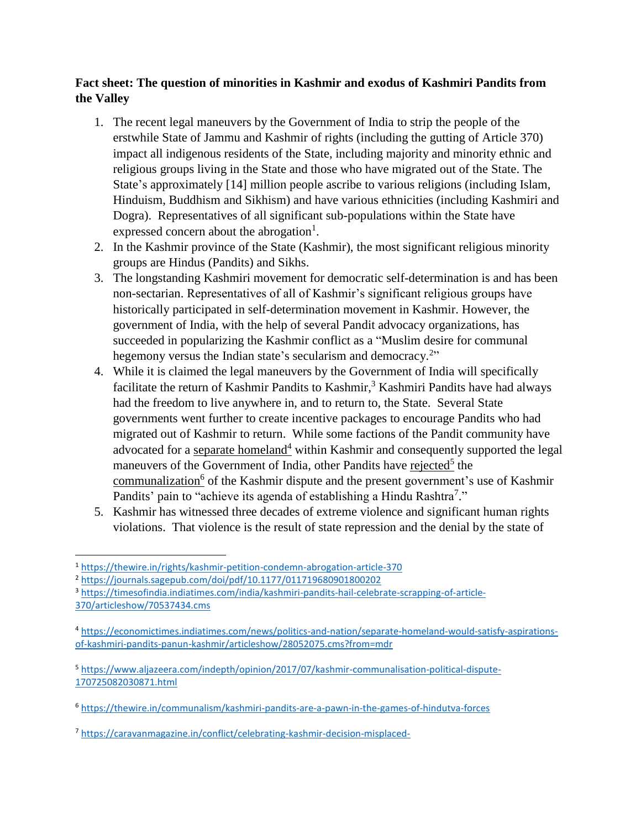## **Fact sheet: The question of minorities in Kashmir and exodus of Kashmiri Pandits from the Valley**

- 1. The recent legal maneuvers by the Government of India to strip the people of the erstwhile State of Jammu and Kashmir of rights (including the gutting of Article 370) impact all indigenous residents of the State, including majority and minority ethnic and religious groups living in the State and those who have migrated out of the State. The State's approximately [14] million people ascribe to various religions (including Islam, Hinduism, Buddhism and Sikhism) and have various ethnicities (including Kashmiri and Dogra). Representatives of all significant sub-populations within the State have expressed concern about the abrogation<sup>1</sup>.
- 2. In the Kashmir province of the State (Kashmir), the most significant religious minority groups are Hindus (Pandits) and Sikhs.
- 3. The longstanding Kashmiri movement for democratic self-determination is and has been non-sectarian. Representatives of all of Kashmir's significant religious groups have historically participated in self-determination movement in Kashmir. However, the government of India, with the help of several Pandit advocacy organizations, has succeeded in popularizing the Kashmir conflict as a "Muslim desire for communal hegemony versus the Indian state's secularism and democracy.<sup>2</sup>"
- 4. While it is claimed the legal maneuvers by the Government of India will specifically facilitate the return of Kashmir Pandits to Kashmir,<sup>3</sup> Kashmiri Pandits have had always had the freedom to live anywhere in, and to return to, the State. Several State governments went further to create incentive packages to encourage Pandits who had migrated out of Kashmir to return. While some factions of the Pandit community have advocated for a [separate homeland](https://m.economictimes.com/news/politics-and-nation/separate-homeland-would-satisfy-aspirations-of-kashmiri-pandits-panun-kashmir/articleshow/28052075.cms)<sup>4</sup> within Kashmir and consequently supported the legal maneuvers of the Government of India, other Pandits have [rejected](https://www.aljazeera.com/indepth/opinion/2017/07/kashmir-communalisation-political-dispute-170725082030871.html)<sup>5</sup> th[e](https://thewire.in/communalism/kashmiri-pandits-are-a-pawn-in-the-games-of-hindutva-forces) [communalization](https://thewire.in/communalism/kashmiri-pandits-are-a-pawn-in-the-games-of-hindutva-forces)<sup>6</sup> of the Kashmir dispute and the present government's use of Kashmir Pandits' pain to "achieve its agenda of establishing a Hindu Rashtra<sup>7</sup>."
- 5. Kashmir has witnessed three decades of extreme violence and significant human rights violations. That violence is the result of state repression and the denial by the state of

<sup>2</sup> <https://journals.sagepub.com/doi/pdf/10.1177/011719680901800202>

<sup>1</sup> <https://thewire.in/rights/kashmir-petition-condemn-abrogation-article-370>

<sup>3</sup> [https://timesofindia.indiatimes.com/india/kashmiri-pandits-hail-celebrate-scrapping-of-article-](https://timesofindia.indiatimes.com/india/kashmiri-pandits-hail-celebrate-scrapping-of-article-370/articleshow/70537434.cms)[370/articleshow/70537434.cms](https://timesofindia.indiatimes.com/india/kashmiri-pandits-hail-celebrate-scrapping-of-article-370/articleshow/70537434.cms)

<sup>4</sup> [https://economictimes.indiatimes.com/news/politics-and-nation/separate-homeland-would-satisfy-aspirations](https://economictimes.indiatimes.com/news/politics-and-nation/separate-homeland-would-satisfy-aspirations-of-kashmiri-pandits-panun-kashmir/articleshow/28052075.cms?from=mdr)[of-kashmiri-pandits-panun-kashmir/articleshow/28052075.cms?from=mdr](https://economictimes.indiatimes.com/news/politics-and-nation/separate-homeland-would-satisfy-aspirations-of-kashmiri-pandits-panun-kashmir/articleshow/28052075.cms?from=mdr)

<sup>5</sup> [https://www.aljazeera.com/indepth/opinion/2017/07/kashmir-communalisation-political-dispute-](https://www.aljazeera.com/indepth/opinion/2017/07/kashmir-communalisation-political-dispute-170725082030871.html)[170725082030871.html](https://www.aljazeera.com/indepth/opinion/2017/07/kashmir-communalisation-political-dispute-170725082030871.html)

<sup>6</sup> <https://thewire.in/communalism/kashmiri-pandits-are-a-pawn-in-the-games-of-hindutva-forces>

<sup>7</sup> <https://caravanmagazine.in/conflict/celebrating-kashmir-decision-misplaced->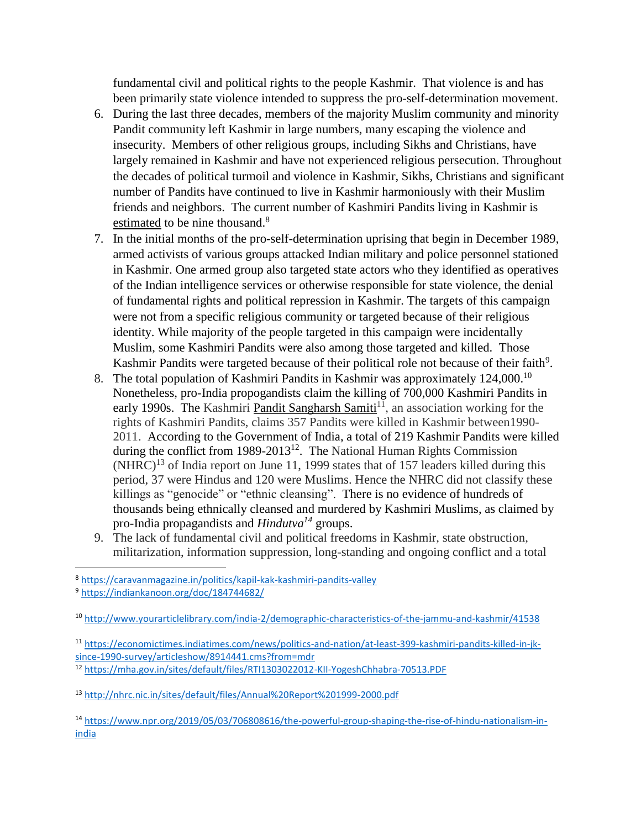fundamental civil and political rights to the people Kashmir. That violence is and has been primarily state violence intended to suppress the pro-self-determination movement.

- 6. During the last three decades, members of the majority Muslim community and minority Pandit community left Kashmir in large numbers, many escaping the violence and insecurity. Members of other religious groups, including Sikhs and Christians, have largely remained in Kashmir and have not experienced religious persecution. Throughout the decades of political turmoil and violence in Kashmir, Sikhs, Christians and significant number of Pandits have continued to live in Kashmir harmoniously with their Muslim friends and neighbors. The current number of Kashmiri Pandits living in Kashmir is [estimated](https://caravanmagazine.in/politics/kapil-kak-kashmiri-pandits-valley) to be nine thousand.<sup>8</sup>
- 7. In the initial months of the pro-self-determination uprising that begin in December 1989, armed activists of various groups attacked Indian military and police personnel stationed in Kashmir. One armed group also targeted state actors who they identified as operatives of the Indian intelligence services or otherwise responsible for state violence, the denial of fundamental rights and political repression in Kashmir. The targets of this campaign were not from a specific religious community or targeted because of their religious identity. While majority of the people targeted in this campaign were incidentally Muslim, some Kashmiri Pandits were also among those targeted and killed. Those Kashmir Pandits were targeted because of their political role not because of their faith<sup>9</sup>.
- 8. The total population of Kashmiri Pandits in Kashmir was approximately 124,000.<sup>10</sup> Nonetheless, pro-India propogandists claim the killing of 700,000 Kashmiri Pandits in early 1990s. The Kashmiri [Pandit Sangharsh Samiti](https://economictimes.indiatimes.com/news/politics-and-nation/at-least-399-kashmiri-pandits-killed-in-jk-since-1990-survey/articleshow/8914441.cms?from=mdr)<sup>11</sup>, an association working for the rights of Kashmiri Pandits, claims 357 Pandits were killed in Kashmir between1990- 2011. According to the Government of India, a total of 219 Kashmir Pandits were killed during the conflict from 1989-2013<sup>12</sup>. The National Human Rights Commission  $(NHRC)^{13}$  of India report on June 11, 1999 states that of 157 leaders killed during this period, 37 were Hindus and 120 were Muslims. Hence the NHRC did not classify these killings as "genocide" or "ethnic cleansing". There is no evidence of hundreds of thousands being ethnically cleansed and murdered by Kashmiri Muslims, as claimed by pro-India propagandists and *Hindutva<sup>14</sup>* groups.
- 9. The lack of fundamental civil and political freedoms in Kashmir, state obstruction, militarization, information suppression, long-standing and ongoing conflict and a total

l

<sup>11</sup> [https://economictimes.indiatimes.com/news/politics-and-nation/at-least-399-kashmiri-pandits-killed-in-jk](https://economictimes.indiatimes.com/news/politics-and-nation/at-least-399-kashmiri-pandits-killed-in-jk-since-1990-survey/articleshow/8914441.cms?from=mdr)[since-1990-survey/articleshow/8914441.cms?from=mdr](https://economictimes.indiatimes.com/news/politics-and-nation/at-least-399-kashmiri-pandits-killed-in-jk-since-1990-survey/articleshow/8914441.cms?from=mdr) <sup>12</sup> <https://mha.gov.in/sites/default/files/RTI1303022012-KII-YogeshChhabra-70513.PDF>

<sup>14</sup> [https://www.npr.org/2019/05/03/706808616/the-powerful-group-shaping-the-rise-of-hindu-nationalism-in](https://www.npr.org/2019/05/03/706808616/the-powerful-group-shaping-the-rise-of-hindu-nationalism-in-india)[india](https://www.npr.org/2019/05/03/706808616/the-powerful-group-shaping-the-rise-of-hindu-nationalism-in-india)

<sup>8</sup> <https://caravanmagazine.in/politics/kapil-kak-kashmiri-pandits-valley>

<sup>9</sup> <https://indiankanoon.org/doc/184744682/>

<sup>10</sup> <http://www.yourarticlelibrary.com/india-2/demographic-characteristics-of-the-jammu-and-kashmir/41538>

<sup>13</sup> <http://nhrc.nic.in/sites/default/files/Annual%20Report%201999-2000.pdf>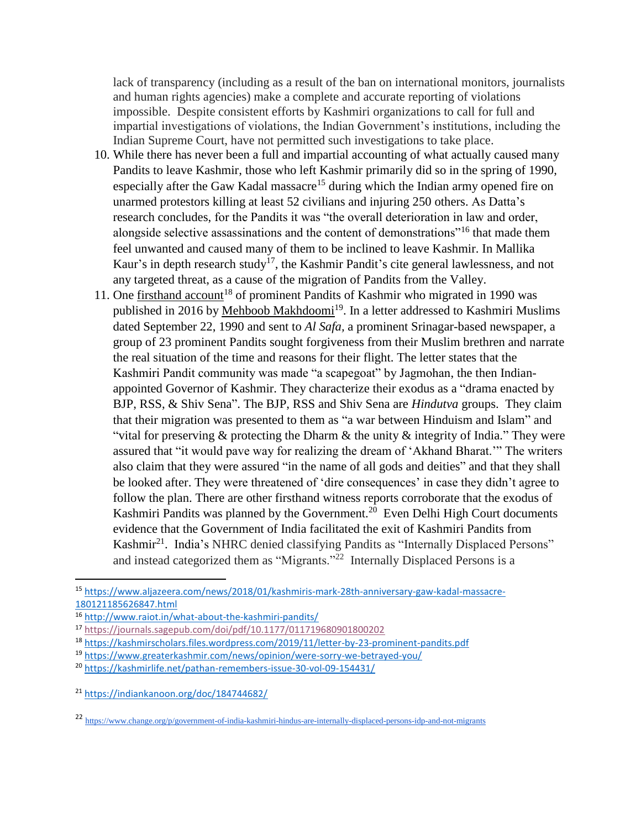lack of transparency (including as a result of the ban on international monitors, journalists and human rights agencies) make a complete and accurate reporting of violations impossible. Despite consistent efforts by Kashmiri organizations to call for full and impartial investigations of violations, the Indian Government's institutions, including the Indian Supreme Court, have not permitted such investigations to take place.

- 10. While there has never been a full and impartial accounting of what actually caused many Pandits to leave Kashmir, those who left Kashmir primarily did so in the spring of 1990, especially after the Gaw Kadal massacre<sup>15</sup> during which the Indian army opened fire on unarmed protestors killing at least 52 civilians and injuring 250 others. As Datta's research concludes, for the Pandits it was "the overall deterioration in law and order, alongside selective assassinations and the content of demonstrations<sup>"16</sup> that made them feel unwanted and caused many of them to be inclined to leave Kashmir. In Mallika Kaur's in depth research study<sup>17</sup>, the Kashmir Pandit's cite general lawlessness, and not any targeted threat, as a cause of the migration of Pandits from the Valley.
- 11. One [firsthand account](https://kashmirscholars.files.wordpress.com/2019/11/letter-by-23-prominent-pandits.pdf)<sup>18</sup> of prominent Pandits of Kashmir who migrated in 1990 was published in 2016 by [Mehboob Makhdoomi](https://www.greaterkashmir.com/news/opinion/were-sorry-we-betrayed-you/)<sup>19</sup>. In a letter addressed to Kashmiri Muslims dated September 22, 1990 and sent to *Al Safa,* a prominent Srinagar-based newspaper, a group of 23 prominent Pandits sought forgiveness from their Muslim brethren and narrate the real situation of the time and reasons for their flight. The letter states that the Kashmiri Pandit community was made "a scapegoat" by Jagmohan, the then Indianappointed Governor of Kashmir. They characterize their exodus as a "drama enacted by BJP, RSS, & Shiv Sena". The BJP, RSS and Shiv Sena are *Hindutva* groups. They claim that their migration was presented to them as "a war between Hinduism and Islam" and "vital for preserving  $\&$  protecting the Dharm  $\&$  the unity  $\&$  integrity of India." They were assured that "it would pave way for realizing the dream of 'Akhand Bharat.'" The writers also claim that they were assured "in the name of all gods and deities" and that they shall be looked after. They were threatened of 'dire consequences' in case they didn't agree to follow the plan. There are other firsthand witness reports corroborate that the exodus of Kashmiri Pandits was planned by the Government.<sup>20</sup> Even Delhi High Court documents evidence that the Government of India facilitated the exit of Kashmiri Pandits from Kashmir<sup>21</sup>. India's NHRC denied classifying Pandits as "Internally Displaced Persons" and instead categorized them as "Migrants."<sup>22</sup> Internally Displaced Persons is a

<sup>15</sup> [https://www.aljazeera.com/news/2018/01/kashmiris-mark-28th-anniversary-gaw-kadal-massacre-](https://www.aljazeera.com/news/2018/01/kashmiris-mark-28th-anniversary-gaw-kadal-massacre-180121185626847.html)[180121185626847.html](https://www.aljazeera.com/news/2018/01/kashmiris-mark-28th-anniversary-gaw-kadal-massacre-180121185626847.html)

<sup>16</sup> <http://www.raiot.in/what-about-the-kashmiri-pandits/>

<sup>17</sup> <https://journals.sagepub.com/doi/pdf/10.1177/011719680901800202>

<sup>18</sup> <https://kashmirscholars.files.wordpress.com/2019/11/letter-by-23-prominent-pandits.pdf>

<sup>19</sup> <https://www.greaterkashmir.com/news/opinion/were-sorry-we-betrayed-you/>

<sup>20</sup> <https://kashmirlife.net/pathan-remembers-issue-30-vol-09-154431/>

<sup>21</sup> <https://indiankanoon.org/doc/184744682/>

<sup>22</sup> <https://www.change.org/p/government-of-india-kashmiri-hindus-are-internally-displaced-persons-idp-and-not-migrants>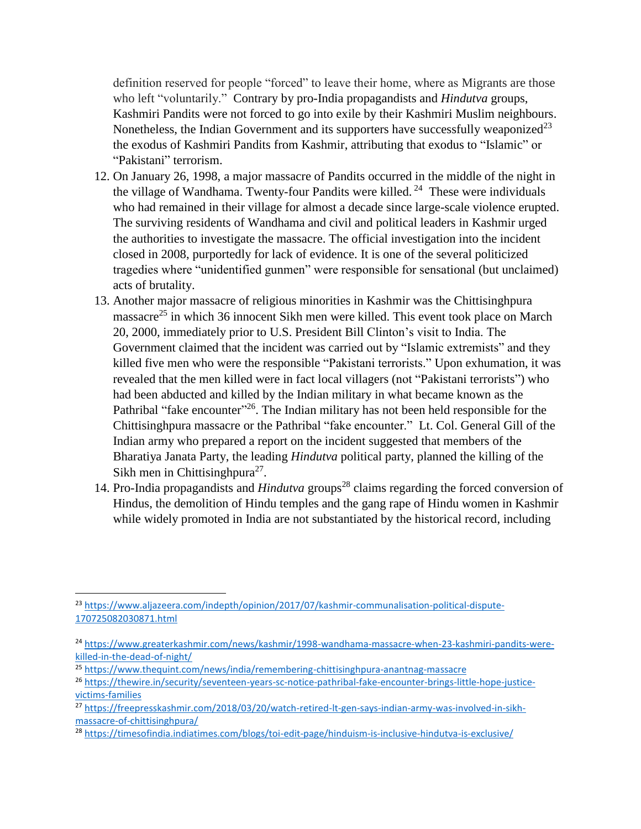definition reserved for people "forced" to leave their home, where as Migrants are those who left "voluntarily." Contrary by pro-India propagandists and *Hindutva* groups, Kashmiri Pandits were not forced to go into exile by their Kashmiri Muslim neighbours. Nonetheless, the Indian Government and its supporters have successfully [weaponized](https://www.aljazeera.com/indepth/opinion/2017/07/kashmir-communalisation-political-dispute-170725082030871.html)<sup>23</sup> the exodus of Kashmiri Pandits from Kashmir, attributing that exodus to "Islamic" or "Pakistani" terrorism.

- 12. On January 26, 1998, a major massacre of Pandits occurred in the middle of the night in the village of Wandhama. Twenty-four Pandits were killed.<sup>24</sup> These were individuals who had remained in their village for almost a decade since large-scale violence erupted. The surviving residents of Wandhama and civil and political leaders in Kashmir urged the authorities to investigate the massacre. The official investigation into the incident closed in 2008, purportedly for lack of evidence. It is one of the several politicized tragedies where "unidentified gunmen" were responsible for sensational (but unclaimed) acts of brutality.
- 13. Another major massacre of religious minorities in Kashmir was the Chittisinghpura massacre<sup>25</sup> in which 36 innocent Sikh men were killed. This event took place on March 20, 2000, immediately prior to U.S. President Bill Clinton's visit to India. The Government claimed that the incident was carried out by "Islamic extremists" and they killed five men who were the responsible "Pakistani terrorists." Upon exhumation, it was revealed that the men killed were in fact local villagers (not "Pakistani terrorists") who had been abducted and killed by the Indian military in what became known as the Pathribal "fake encounter"<sup>26</sup>. The Indian military has not been held responsible for the Chittisinghpura massacre or the Pathribal "fake encounter." Lt. Col. General Gill of the Indian army who prepared a report on the incident suggested that members of the Bharatiya Janata Party, the leading *Hindutva* political party, planned the killing of the Sikh men in Chittisinghpura<sup>27</sup>.
- 14. Pro-India propagandists and *Hindutva* groups<sup>28</sup> claims regarding the forced conversion of Hindus, the demolition of Hindu temples and the gang rape of Hindu women in Kashmir while widely promoted in India are not substantiated by the historical record, including

l

<sup>&</sup>lt;sup>23</sup> [https://www.aljazeera.com/indepth/opinion/2017/07/kashmir-communalisation-political-dispute-](https://www.aljazeera.com/indepth/opinion/2017/07/kashmir-communalisation-political-dispute-170725082030871.html)[170725082030871.html](https://www.aljazeera.com/indepth/opinion/2017/07/kashmir-communalisation-political-dispute-170725082030871.html)

<sup>&</sup>lt;sup>24</sup> [https://www.greaterkashmir.com/news/kashmir/1998-wandhama-massacre-when-23-kashmiri-pandits-were](https://www.greaterkashmir.com/news/kashmir/1998-wandhama-massacre-when-23-kashmiri-pandits-were-killed-in-the-dead-of-night/)[killed-in-the-dead-of-night/](https://www.greaterkashmir.com/news/kashmir/1998-wandhama-massacre-when-23-kashmiri-pandits-were-killed-in-the-dead-of-night/)

<sup>25</sup> <https://www.thequint.com/news/india/remembering-chittisinghpura-anantnag-massacre>

<sup>26</sup> [https://thewire.in/security/seventeen-years-sc-notice-pathribal-fake-encounter-brings-little-hope-justice](https://thewire.in/security/seventeen-years-sc-notice-pathribal-fake-encounter-brings-little-hope-justice-victims-families)[victims-families](https://thewire.in/security/seventeen-years-sc-notice-pathribal-fake-encounter-brings-little-hope-justice-victims-families)

<sup>27</sup> [https://freepresskashmir.com/2018/03/20/watch-retired-lt-gen-says-indian-army-was-involved-in-sikh](https://freepresskashmir.com/2018/03/20/watch-retired-lt-gen-says-indian-army-was-involved-in-sikh-massacre-of-chittisinghpura/)[massacre-of-chittisinghpura/](https://freepresskashmir.com/2018/03/20/watch-retired-lt-gen-says-indian-army-was-involved-in-sikh-massacre-of-chittisinghpura/)

<sup>28</sup> <https://timesofindia.indiatimes.com/blogs/toi-edit-page/hinduism-is-inclusive-hindutva-is-exclusive/>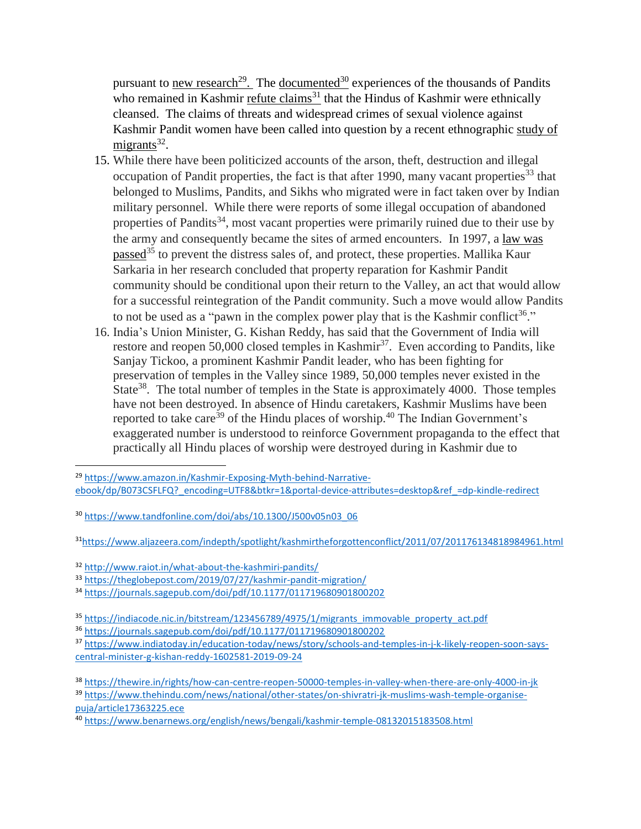pursuant to <u>[new research](https://www.amazon.in/Kashmir-Exposing-Myth-behind-Narrative-ebook/dp/B073CSFLFQ?_encoding=UTF8&btkr=1&portal-device-attributes=desktop&ref_=dp-kindle-redirect)<sup>29</sup>.</u> The <u>documented<sup>30</sup></u> experiences of the thousands of Pandits who remained in Kashmir [refute claims](https://www.aljazeera.com/indepth/spotlight/kashmirtheforgottenconflict/2011/07/201176134818984961.html)<sup>31</sup> that the Hindus of Kashmir were ethnically cleansed. The claims of threats and widespread crimes of sexual violence against Kashmir Pandit women have been called into question by a recent ethnographic [study of](http://www.raiot.in/what-about-the-kashmiri-pandits/)  [migrants](http://www.raiot.in/what-about-the-kashmiri-pandits/)<sup>32</sup>.

- 15. While there have been politicized accounts of the arson, theft, destruction and illegal occupation of Pandit properties, the fact is that after 1990, many vacant properties<sup>33</sup> that belonged to Muslims, Pandits, and Sikhs who migrated were in fact taken over by Indian military personnel. While there were reports of some illegal occupation of abandoned properties of Pandits<sup>34</sup>, most vacant properties were primarily ruined due to their use by the army and consequently became the sites of armed encounters. In 1997, a [law was](https://indiacode.nic.in/bitstream/123456789/4975/1/migrants_immovable_property_act.pdf)  [passed](https://indiacode.nic.in/bitstream/123456789/4975/1/migrants_immovable_property_act.pdf)<sup>35</sup> to prevent the distress sales of, and protect, these properties. Mallika Kaur Sarkaria in her research concluded that property reparation for Kashmir Pandit community should be conditional upon their return to the Valley, an act that would allow for a successful reintegration of the Pandit community. Such a move would allow Pandits to not be used as a "pawn in the complex power play that is the Kashmir conflict<sup>36</sup>."
- 16. India's Union Minister, G. Kishan Reddy, has said that the Government of India will restore and reopen 50,000 closed temples in Kashmir<sup>37</sup>. Even according to Pandits, like Sanjay Tickoo, a prominent Kashmir Pandit leader, who has been fighting for preservation of temples in the Valley since 1989, 50,000 temples never existed in the State<sup>38</sup>. The total number of temples in the State is approximately 4000. Those temples have not been destroyed. In absence of Hindu caretakers, Kashmir Muslims have been reported to take care<sup>39</sup> of the Hindu places of worship.<sup>40</sup> The Indian Government's exaggerated number is understood to reinforce Government propaganda to the effect that practically all Hindu places of worship were destroyed during in Kashmir due to

<sup>29</sup> [https://www.amazon.in/Kashmir-Exposing-Myth-behind-Narrative](https://www.amazon.in/Kashmir-Exposing-Myth-behind-Narrative-ebook/dp/B073CSFLFQ?_encoding=UTF8&btkr=1&portal-device-attributes=desktop&ref_=dp-kindle-redirect)[ebook/dp/B073CSFLFQ?\\_encoding=UTF8&btkr=1&portal-device-attributes=desktop&ref\\_=dp-kindle-redirect](https://www.amazon.in/Kashmir-Exposing-Myth-behind-Narrative-ebook/dp/B073CSFLFQ?_encoding=UTF8&btkr=1&portal-device-attributes=desktop&ref_=dp-kindle-redirect)

<sup>30</sup> [https://www.tandfonline.com/doi/abs/10.1300/J500v05n03\\_06](https://www.tandfonline.com/doi/abs/10.1300/J500v05n03_06)

<sup>31</sup><https://www.aljazeera.com/indepth/spotlight/kashmirtheforgottenconflict/2011/07/201176134818984961.html>

<sup>32</sup> <http://www.raiot.in/what-about-the-kashmiri-pandits/>

<sup>33</sup> <https://theglobepost.com/2019/07/27/kashmir-pandit-migration/>

<sup>34</sup> <https://journals.sagepub.com/doi/pdf/10.1177/011719680901800202>

<sup>&</sup>lt;sup>35</sup> [https://indiacode.nic.in/bitstream/123456789/4975/1/migrants\\_immovable\\_property\\_act.pdf](https://indiacode.nic.in/bitstream/123456789/4975/1/migrants_immovable_property_act.pdf)

<sup>36</sup> <https://journals.sagepub.com/doi/pdf/10.1177/011719680901800202>

<sup>37</sup> [https://www.indiatoday.in/education-today/news/story/schools-and-temples-in-j-k-likely-reopen-soon-says](https://www.indiatoday.in/education-today/news/story/schools-and-temples-in-j-k-likely-reopen-soon-says-central-minister-g-kishan-reddy-1602581-2019-09-24)[central-minister-g-kishan-reddy-1602581-2019-09-24](https://www.indiatoday.in/education-today/news/story/schools-and-temples-in-j-k-likely-reopen-soon-says-central-minister-g-kishan-reddy-1602581-2019-09-24)

<sup>38</sup> <https://thewire.in/rights/how-can-centre-reopen-50000-temples-in-valley-when-there-are-only-4000-in-jk>

<sup>39</sup> [https://www.thehindu.com/news/national/other-states/on-shivratri-jk-muslims-wash-temple-organise](https://www.thehindu.com/news/national/other-states/on-shivratri-jk-muslims-wash-temple-organise-puja/article17363225.ece)[puja/article17363225.ece](https://www.thehindu.com/news/national/other-states/on-shivratri-jk-muslims-wash-temple-organise-puja/article17363225.ece)

<sup>40</sup> <https://www.benarnews.org/english/news/bengali/kashmir-temple-08132015183508.html>